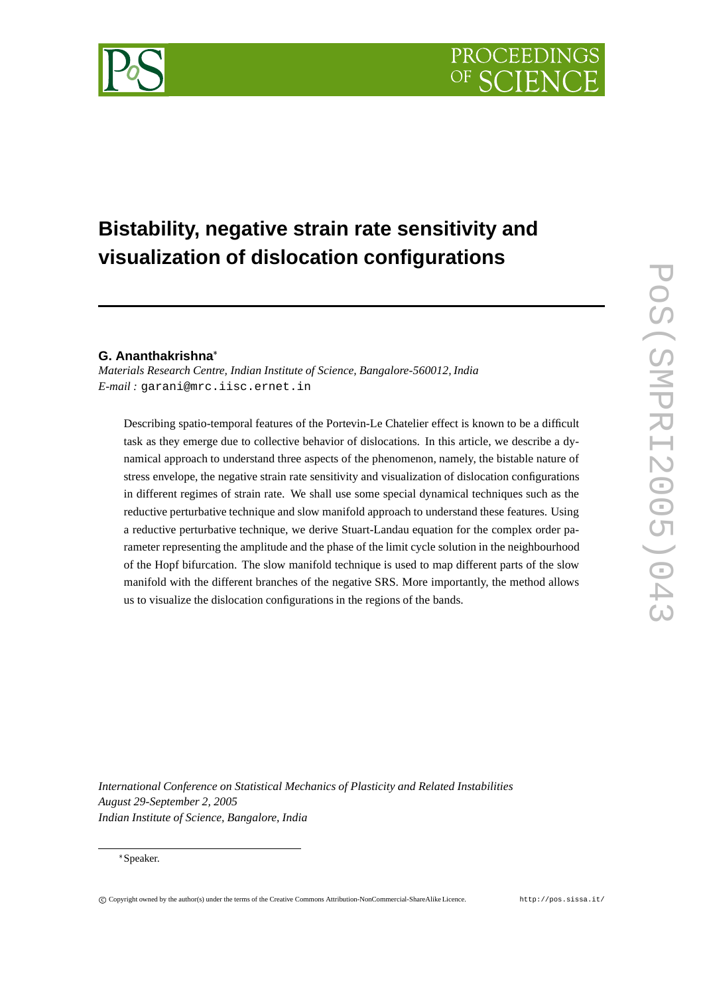# **Bistability, negative strain rate sensitivity and visualization of dislocation configurations**

# **G. Ananthakrishna**

*Materials Research Centre, Indian Institute of Science, Bangalore-560012, India E-mail :* garani@mrc.iisc.ernet.in

Describing spatio-temporal features of the Portevin-Le Chatelier effect is known to be a difficult task as they emerge due to collective behavior of dislocations. In this article, we describe a dynamical approach to understand three aspects of the phenomenon, namely, the bistable nature of stress envelope, the negative strain rate sensitivity and visualization of dislocation configurations in different regimes of strain rate. We shall use some special dynamical techniques such as the reductive perturbative technique and slow manifold approach to understand these features. Using a reductive perturbative technique, we derive Stuart-Landau equation for the complex order parameter representing the amplitude and the phase of the limit cycle solution in the neighbourhood of the Hopf bifurcation. The slow manifold technique is used to map different parts of the slow manifold with the different branches of the negative SRS. More importantly, the method allows us to visualize the dislocation configurations in the regions of the bands.

*International Conference on Statistical Mechanics of Plasticity and Related Instabilities August 29-September 2, 2005 Indian Institute of Science, Bangalore, India*

#### Speaker.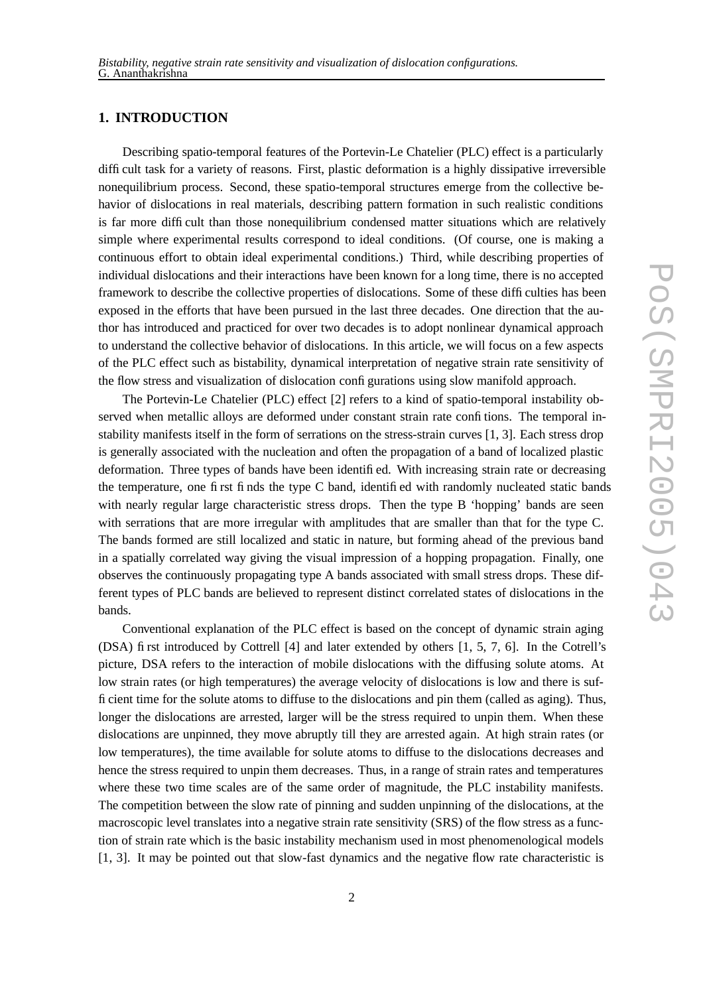# **1. INTRODUCTION**

Describing spatio-temporal features of the Portevin-Le Chatelier (PLC) effect is a particularly difficult task for a variety of reasons. First, plastic deformation is a highly dissipative irreversible nonequilibrium process. Second, these spatio-temporal structures emerge from the collective behavior of dislocations in real materials, describing pattern formation in such realistic conditions is far more difficult than those nonequilibrium condensed matter situations which are relatively simple where experimental results correspond to ideal conditions. (Of course, one is making a continuous effort to obtain ideal experimental conditions.) Third, while describing properties of individual dislocations and their interactions have been known for a long time, there is no accepted framework to describe the collective properties of dislocations. Some of these difficulties has been exposed in the efforts that have been pursued in the last three decades. One direction that the author has introduced and practiced for over two decades is to adopt nonlinear dynamical approach to understand the collective behavior of dislocations. In this article, we will focus on a few aspects of the PLC effect such as bistability, dynamical interpretation of negative strain rate sensitivity of the flow stress and visualization of dislocation configurations using slow manifold approach.

The Portevin-Le Chatelier (PLC) effect [2] refers to a kind of spatio-temporal instability observed when metallic alloys are deformed under constant strain rate confitions. The temporal instability manifests itself in the form of serrations on the stress-strain curves [1, 3]. Each stress drop is generally associated with the nucleation and often the propagation of a band of localized plastic deformation. Three types of bands have been identified. With increasing strain rate or decreasing the temperature, one first finds the type C band, identified with randomly nucleated static bands with nearly regular large characteristic stress drops. Then the type B 'hopping' bands are seen with serrations that are more irregular with amplitudes that are smaller than that for the type C. The bands formed are still localized and static in nature, but forming ahead of the previous band in a spatially correlated way giving the visual impression of a hopping propagation. Finally, one observes the continuously propagating type A bands associated with small stress drops. These different types of PLC bands are believed to represent distinct correlated states of dislocations in the bands.

Conventional explanation of the PLC effect is based on the concept of dynamic strain aging (DSA) first introduced by Cottrell [4] and later extended by others [1, 5, 7, 6]. In the Cotrell's picture, DSA refers to the interaction of mobile dislocations with the diffusing solute atoms. At low strain rates (or high temperatures) the average velocity of dislocations is low and there is sufficient time for the solute atoms to diffuse to the dislocations and pin them (called as aging). Thus, longer the dislocations are arrested, larger will be the stress required to unpin them. When these dislocations are unpinned, they move abruptly till they are arrested again. At high strain rates (or low temperatures), the time available for solute atoms to diffuse to the dislocations decreases and hence the stress required to unpin them decreases. Thus, in a range of strain rates and temperatures where these two time scales are of the same order of magnitude, the PLC instability manifests. The competition between the slow rate of pinning and sudden unpinning of the dislocations, at the macroscopic level translates into a negative strain rate sensitivity (SRS) of the flow stress as a function of strain rate which is the basic instability mechanism used in most phenomenological models [1, 3]. It may be pointed out that slow-fast dynamics and the negative flow rate characteristic is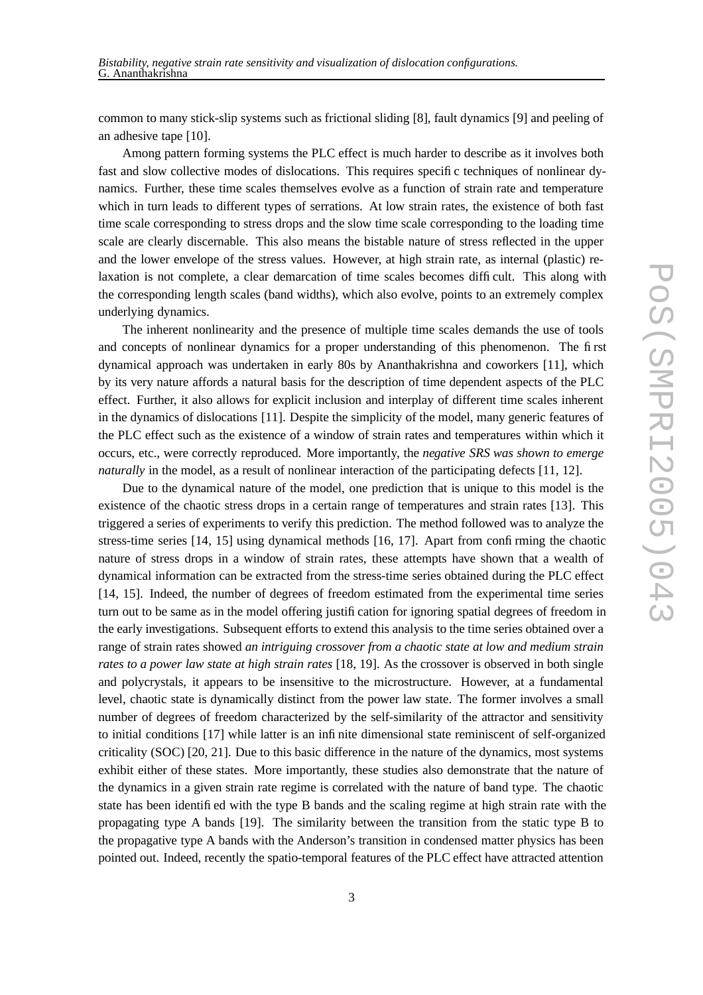common to many stick-slip systems such as frictional sliding [8], fault dynamics [9] and peeling of an adhesive tape [10].

Among pattern forming systems the PLC effect is much harder to describe as it involves both fast and slow collective modes of dislocations. This requires specific techniques of nonlinear dynamics. Further, these time scales themselves evolve as a function of strain rate and temperature which in turn leads to different types of serrations. At low strain rates, the existence of both fast time scale corresponding to stress drops and the slow time scale corresponding to the loading time scale are clearly discernable. This also means the bistable nature of stress reflected in the upper and the lower envelope of the stress values. However, at high strain rate, as internal (plastic) relaxation is not complete, a clear demarcation of time scales becomes difficult. This along with the corresponding length scales (band widths), which also evolve, points to an extremely complex underlying dynamics.

The inherent nonlinearity and the presence of multiple time scales demands the use of tools and concepts of nonlinear dynamics for a proper understanding of this phenomenon. The first dynamical approach was undertaken in early 80s by Ananthakrishna and coworkers [11], which by its very nature affords a natural basis for the description of time dependent aspects of the PLC effect. Further, it also allows for explicit inclusion and interplay of different time scales inherent in the dynamics of dislocations [11]. Despite the simplicity of the model, many generic features of the PLC effect such as the existence of a window of strain rates and temperatures within which it occurs, etc., were correctly reproduced. More importantly, the *negative SRS was shown to emerge naturally* in the model, as a result of nonlinear interaction of the participating defects [11, 12].

Due to the dynamical nature of the model, one prediction that is unique to this model is the existence of the chaotic stress drops in a certain range of temperatures and strain rates [13]. This triggered a series of experiments to verify this prediction. The method followed was to analyze the stress-time series [14, 15] using dynamical methods [16, 17]. Apart from confirming the chaotic nature of stress drops in a window of strain rates, these attempts have shown that a wealth of dynamical information can be extracted from the stress-time series obtained during the PLC effect [14, 15]. Indeed, the number of degrees of freedom estimated from the experimental time series turn out to be same as in the model offering justification for ignoring spatial degrees of freedom in the early investigations. Subsequent efforts to extend this analysis to the time series obtained over a range of strain rates showed *an intriguing crossover from a chaotic state at low and medium strain rates to a power law state at high strain rates* [18, 19]. As the crossover is observed in both single and polycrystals, it appears to be insensitive to the microstructure. However, at a fundamental level, chaotic state is dynamically distinct from the power law state. The former involves a small number of degrees of freedom characterized by the self-similarity of the attractor and sensitivity to initial conditions [17] while latter is an infinite dimensional state reminiscent of self-organized criticality (SOC) [20, 21]. Due to this basic difference in the nature of the dynamics, most systems exhibit either of these states. More importantly, these studies also demonstrate that the nature of the dynamics in a given strain rate regime is correlated with the nature of band type. The chaotic state has been identified with the type B bands and the scaling regime at high strain rate with the propagating type A bands [19]. The similarity between the transition from the static type B to the propagative type A bands with the Anderson's transition in condensed matter physics has been pointed out. Indeed, recently the spatio-temporal features of the PLC effect have attracted attention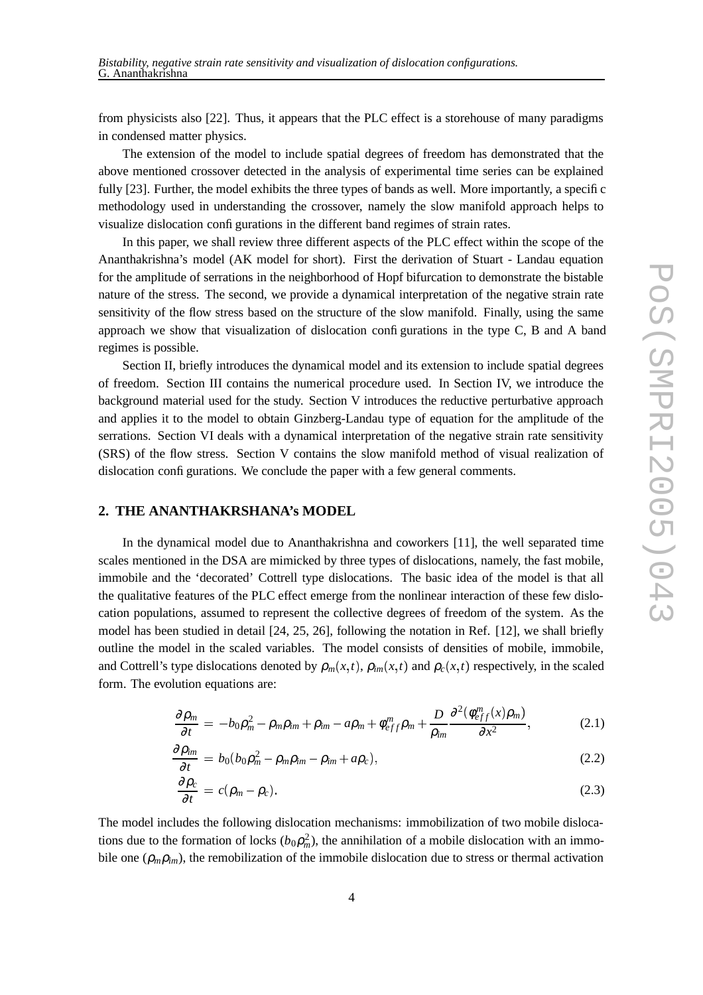from physicists also [22]. Thus, it appears that the PLC effect is a storehouse of many paradigms in condensed matter physics.

The extension of the model to include spatial degrees of freedom has demonstrated that the above mentioned crossover detected in the analysis of experimental time series can be explained fully [23]. Further, the model exhibits the three types of bands as well. More importantly, a specific methodology used in understanding the crossover, namely the slow manifold approach helps to visualize dislocation configurations in the different band regimes of strain rates.

In this paper, we shall review three different aspects of the PLC effect within the scope of the Ananthakrishna's model (AK model for short). First the derivation of Stuart - Landau equation for the amplitude of serrations in the neighborhood of Hopf bifurcation to demonstrate the bistable nature of the stress. The second, we provide a dynamical interpretation of the negative strain rate sensitivity of the flow stress based on the structure of the slow manifold. Finally, using the same approach we show that visualization of dislocation configurations in the type C, B and A band regimes is possible.

Section II, briefly introduces the dynamical model and its extension to include spatial degrees of freedom. Section III contains the numerical procedure used. In Section IV, we introduce the background material used for the study. Section V introduces the reductive perturbative approach and applies it to the model to obtain Ginzberg-Landau type of equation for the amplitude of the serrations. Section VI deals with a dynamical interpretation of the negative strain rate sensitivity (SRS) of the flow stress. Section V contains the slow manifold method of visual realization of dislocation configurations. We conclude the paper with a few general comments.

# **2. THE ANANTHAKRSHANA's MODEL**

In the dynamical model due to Ananthakrishna and coworkers [11], the well separated time scales mentioned in the DSA are mimicked by three types of dislocations, namely, the fast mobile, immobile and the 'decorated' Cottrell type dislocations. The basic idea of the model is that all the qualitative features of the PLC effect emerge from the nonlinear interaction of these few dislocation populations, assumed to represent the collective degrees of freedom of the system. As the model has been studied in detail [24, 25, 26], following the notation in Ref. [12], we shall briefly outline the model in the scaled variables. The model consists of densities of mobile, immobile, and Cottrell's type dislocations denoted by  $\rho_m(x,t)$ ,  $\rho_{im}(x,t)$  and  $\rho_c(x,t)$  respectively, in the scaled form. The evolution equations are:

$$
\frac{\partial \rho_m}{\partial t} = -b_0 \rho_m^2 - \rho_m \rho_{im} + \rho_{im} - a \rho_m + \phi_{eff}^m \rho_m + \frac{D}{\rho_{im}} \frac{\partial^2 (\phi_{eff}^m(x) \rho_m)}{\partial x^2}, \tag{2.1}
$$

$$
\frac{\partial \rho_{im}}{\partial t} = b_0 (b_0 \rho_m^2 - \rho_m \rho_{im} - \rho_{im} + a \rho_c), \qquad (2.2)
$$

$$
\frac{\partial \rho_c}{\partial t} = c(\rho_m - \rho_c). \tag{2.3}
$$

The model includes the following dislocation mechanisms: immobilization of two mobile dislocations due to the formation of locks  $(b_0 \rho_m^2)$ , the annihilation of a mobile dislocation with an immobile one  $(\rho_m \rho_{im})$ , the remobilization of the immobile dislocation due to stress or thermal activation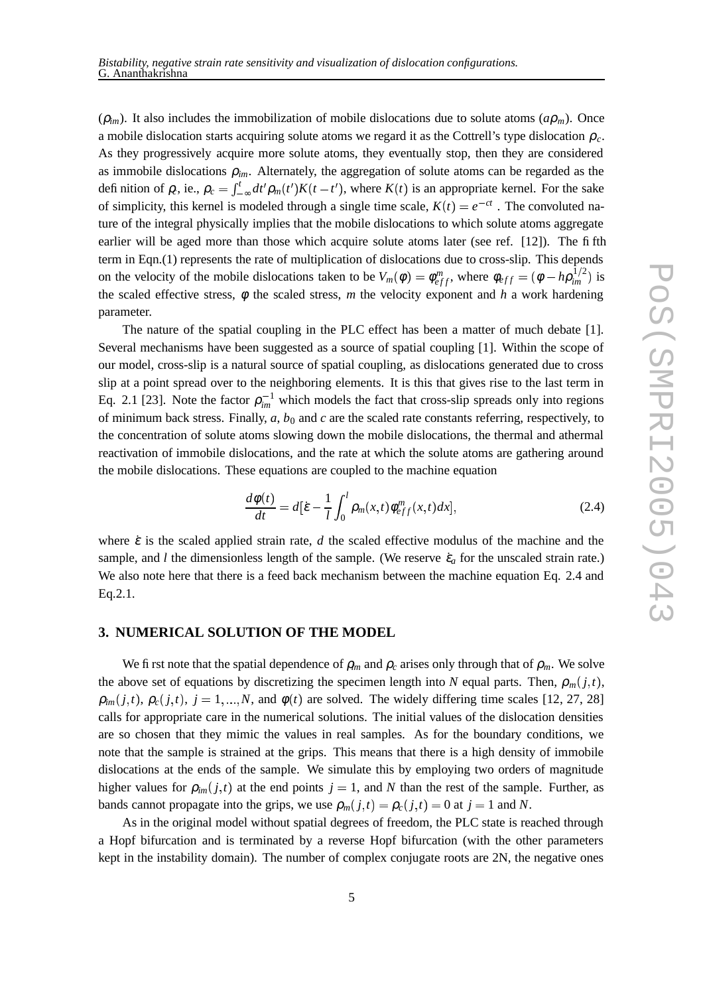$(\rho_{im})$ . It also includes the immobilization of mobile dislocations due to solute atoms  $(a\rho_m)$ . Once a mobile dislocation starts acquiring solute atoms we regard it as the Cottrell's type dislocation <sup>ρ</sup>*c*. As they progressively acquire more solute atoms, they eventually stop, then they are considered as immobile dislocations  $\rho_{im}$ . Alternately, the aggregation of solute atoms can be regarded as the definition of  $\rho$ , ie.,  $\rho_c = \int_{-\infty}^{t} dt' \rho_m(t')$ of simplicity, this kernel is modeled through a single time scale,  $K(t) = e^{-ct}$ . The convoluted na- $\int_{-\infty}^{t} dt' \rho_m(t') K(t-t')$ , where  $K(t)$  is an appropriate kernel. For the sake ture of the integral physically implies that the mobile dislocations to which solute atoms aggregate earlier will be aged more than those which acquire solute atoms later (see ref. [12]). The fifth term in Eqn.(1) represents the rate of multiplication of dislocations due to cross-slip. This depends on the velocity of the mobile dislocations taken to be  $V_m(\phi) = \phi_{eff}^m$ , where  $\phi_{eff} = (\phi - h \rho_{im}^{1/2})$  is the scaled effective stress, φ the scaled stress, *m* the velocity exponent and *h* a work hardening  $\binom{1/2}{im}$  is parameter.

The nature of the spatial coupling in the PLC effect has been a matter of much debate [1]. Several mechanisms have been suggested as a source of spatial coupling [1]. Within the scope of our model, cross-slip is a natural source of spatial coupling, as dislocations generated due to cross slip at a point spread over to the neighboring elements. It is this that gives rise to the last term in Eq. 2.1 [23]. Note the factor  $\rho_{im}^{-1}$  which models the fact that cross-slip spreads only into regions of minimum back stress. Finally, *a*, *b*<sup>0</sup> and *c* are the scaled rate constants referring, respectively, to the concentration of solute atoms slowing down the mobile dislocations, the thermal and athermal reactivation of immobile dislocations, and the rate at which the solute atoms are gathering around the mobile dislocations. These equations are coupled to the machine equation

$$
\frac{d\phi(t)}{dt} = d\left[\dot{\varepsilon} - \frac{1}{l} \int_0^l \rho_m(x, t) \phi_{eff}^m(x, t) dx\right],\tag{2.4}
$$

where  $\dot{\varepsilon}$  is the scaled applied strain rate, *d* the scaled effective modulus of the machine and the sample, and *l* the dimensionless length of the sample. (We reserve  $\dot{\epsilon}_a$  for the unscaled strain rate.) We also note here that there is a feed back mechanism between the machine equation Eq. 2.4 and Eq.2.1.

# **3. NUMERICAL SOLUTION OF THE MODEL**

We first note that the spatial dependence of  $\rho_m$  and  $\rho_c$  arises only through that of  $\rho_m$ . We solve the above set of equations by discretizing the specimen length into *N* equal parts. Then,  $\rho_m(j,t)$ ,  $\rho_{im}(j,t)$ ,  $\rho_{c}(j,t)$ ,  $j = 1,...,N$ , and  $\phi(t)$  are solved. The widely differing time scales [12, 27, 28] calls for appropriate care in the numerical solutions. The initial values of the dislocation densities are so chosen that they mimic the values in real samples. As for the boundary conditions, we note that the sample is strained at the grips. This means that there is a high density of immobile dislocations at the ends of the sample. We simulate this by employing two orders of magnitude higher values for  $\rho_{im}(j,t)$  at the end points  $j = 1$ , and N than the rest of the sample. Further, as bands cannot propagate into the grips, we use  $\rho_m(j,t) = \rho_c(j,t) = 0$  at  $j = 1$  and N.

 As in the original model without spatial degrees of freedom, the PLC state is reached through a Hopf bifurcation and is terminated by a reverse Hopf bifurcation (with the other parameters kept in the instability domain). The number of complex conjugate roots are 2N, the negative ones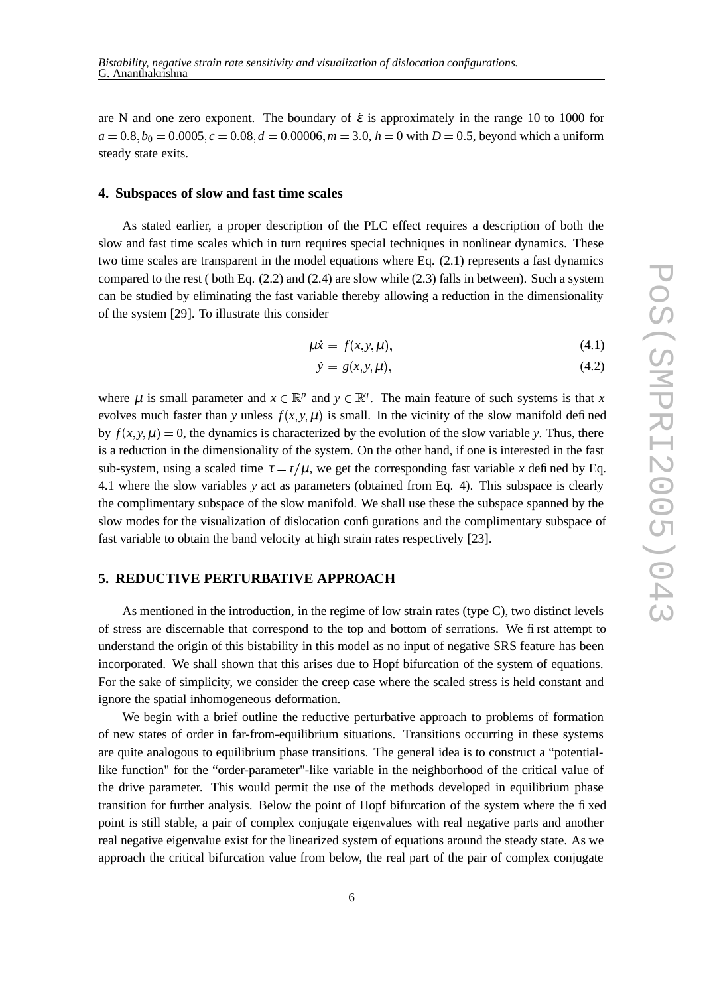are N and one zero exponent. The boundary of  $\dot{\varepsilon}$  is approximately in the range 10 to 1000 for  $a = 0.8, b_0 = 0.0005, c = 0.08, d = 0.00006, m = 3.0, h = 0$  with  $D = 0.5$ , beyond which a uniform steady state exits.

## **4. Subspaces of slow and fast time scales**

As stated earlier, a proper description of the PLC effect requires a description of both the slow and fast time scales which in turn requires special techniques in nonlinear dynamics. These two time scales are transparent in the model equations where Eq. (2.1) represents a fast dynamics compared to the rest ( both Eq. (2.2) and (2.4) are slow while (2.3) falls in between). Such a system can be studied by eliminating the fast variable thereby allowing a reduction in the dimensionality of the system [29]. To illustrate this consider

$$
\mu \dot{x} = f(x, y, \mu), \tag{4.1}
$$

$$
\dot{y} = g(x, y, \mu),\tag{4.2}
$$

where  $\mu$  is small parameter and  $x \in \mathbb{R}^p$  and  $y \in \mathbb{R}^q$ . The main feature of such systems is that *x* evolves much faster than *y* unless  $f(x, y, \mu)$  is small. In the vicinity of the slow manifold defined by  $f(x, y, \mu) = 0$ , the dynamics is characterized by the evolution of the slow variable *y*. Thus, there is a reduction in the dimensionality of the system. On the other hand, if one is interested in the fast sub-system, using a scaled time  $\tau = t/\mu$ , we get the corresponding fast variable x defined by Eq. 4.1 where the slow variables *y* act as parameters (obtained from Eq. 4). This subspace is clearly the complimentary subspace of the slow manifold. We shall use these the subspace spanned by the slow modes for the visualization of dislocation configurations and the complimentary subspace of fast variable to obtain the band velocity at high strain rates respectively [23].

# **5. REDUCTIVE PERTURBATIVE APPROACH**

As mentioned in the introduction, in the regime of low strain rates (type C), two distinct levels of stress are discernable that correspond to the top and bottom of serrations. We first attempt to understand the origin of this bistability in this model as no input of negative SRS feature has been incorporated. We shall shown that this arises due to Hopf bifurcation of the system of equations. For the sake of simplicity, we consider the creep case where the scaled stress is held constant and ignore the spatial inhomogeneous deformation.

We begin with a brief outline the reductive perturbative approach to problems of formation of new states of order in far-from-equilibrium situations. Transitions occurring in these systems are quite analogous to equilibrium phase transitions. The general idea is to construct a "potentiallike function" for the "order-parameter"-like variable in the neighborhood of the critical value of the drive parameter. This would permit the use of the methods developed in equilibrium phase transition for further analysis. Below the point of Hopf bifurcation of the system where the fixed point is still stable, a pair of complex conjugate eigenvalues with real negative parts and another real negative eigenvalue exist for the linearized system of equations around the steady state. As we approach the critical bifurcation value from below, the real part of the pair of complex conjugate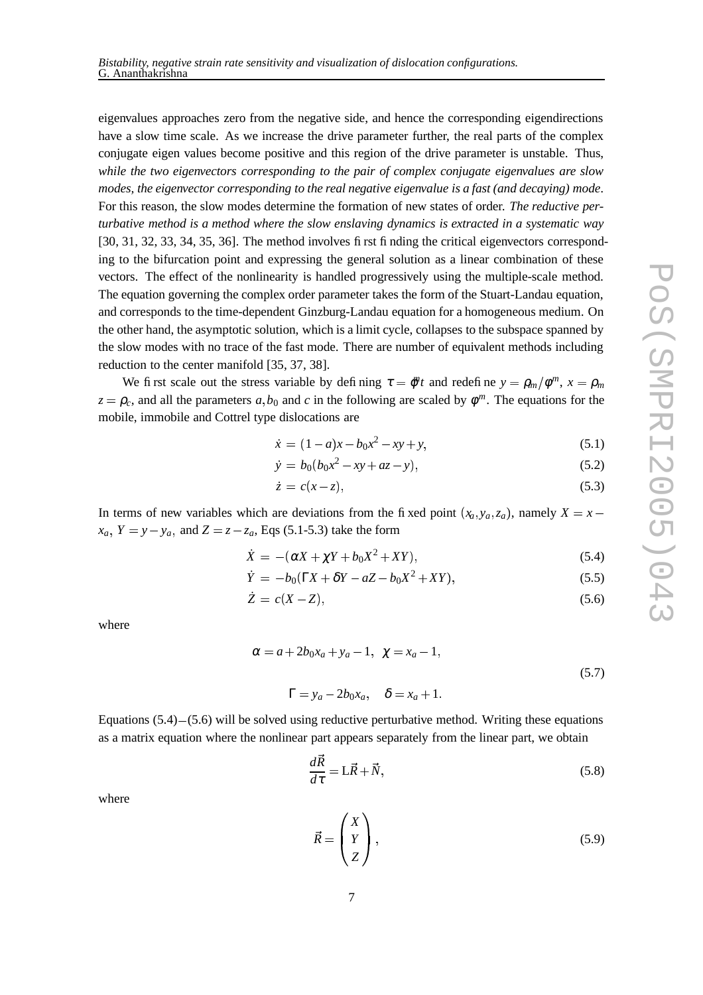eigenvalues approaches zero from the negative side, and hence the corresponding eigendirections have a slow time scale. As we increase the drive parameter further, the real parts of the complex conjugate eigen values become positive and this region of the drive parameter is unstable. Thus, *while the two eigenvectors corresponding to the pair of complex conjugate eigenvalues are slow modes, the eigenvector corresponding to the real negative eigenvalue is a fast (and decaying) mode*. For this reason, the slow modes determine the formation of new states of order. *The reductive perturbative method is a method where the slow enslaving dynamics is extracted in a systematic way* [30, 31, 32, 33, 34, 35, 36]. The method involves first finding the critical eigenvectors corresponding to the bifurcation point and expressing the general solution as a linear combination of these vectors. The effect of the nonlinearity is handled progressively using the multiple-scale method. The equation governing the complex order parameter takes the form of the Stuart-Landau equation, and corresponds to the time-dependent Ginzburg-Landau equation for a homogeneous medium. On the other hand, the asymptotic solution, which is a limit cycle, collapses to the subspace spanned by the slow modes with no trace of the fast mode. There are number of equivalent methods including reduction to the center manifold [35, 37, 38].

We first scale out the stress variable by defining  $\tau = \phi^n t$  and redefine  $y = \rho_m / \phi^m$ ,  $x = \rho_m$  $z = \rho_c$ , and all the parameters *a*, *b*<sub>0</sub> and *c* in the following are scaled by  $\phi^m$ . The equations for the mobile, immobile and Cottrel type dislocations are

$$
\dot{x} = (1 - a)x - b_0 x^2 - xy + y,\tag{5.1}
$$

$$
\dot{y} = b_0(b_0x^2 - xy + az - y),\tag{5.2}
$$

$$
\dot{z} = c(x - z),\tag{5.3}
$$

In terms of new variables which are deviations from the fixed point  $(x_a, y_a, z_a)$ , namely  $X = x_a$  $x_a$ ,  $Y = y - y_a$ , and  $Z = z - z_a$ , Eqs (5.1-5.3) take the form

$$
\dot{X} = -(\alpha X + \chi Y + b_0 X^2 + XY), \tag{5.4}
$$

$$
\dot{Y} = -b_0(\Gamma X + \delta Y - aZ - b_0X^2 + XY),\tag{5.5}
$$

$$
\dot{Z} = c(X - Z),\tag{5.6}
$$

where

$$
\alpha = a + 2b_0x_a + y_a - 1, \quad \chi = x_a - 1,
$$
  

$$
\Gamma = y_a - 2b_0x_a, \quad \delta = x_a + 1.
$$
  
(5.7)

Equations  $(5.4)$ – $(5.6)$  will be solved using reductive perturbative method. Writing these equations as a matrix equation where the nonlinear part appears separately from the linear part, we obtain

$$
\frac{d\vec{R}}{d\tau} = \mathbf{L}\vec{R} + \vec{N},\tag{5.8}
$$

where

$$
\vec{R} = \begin{pmatrix} X \\ Y \\ Z \end{pmatrix},\tag{5.9}
$$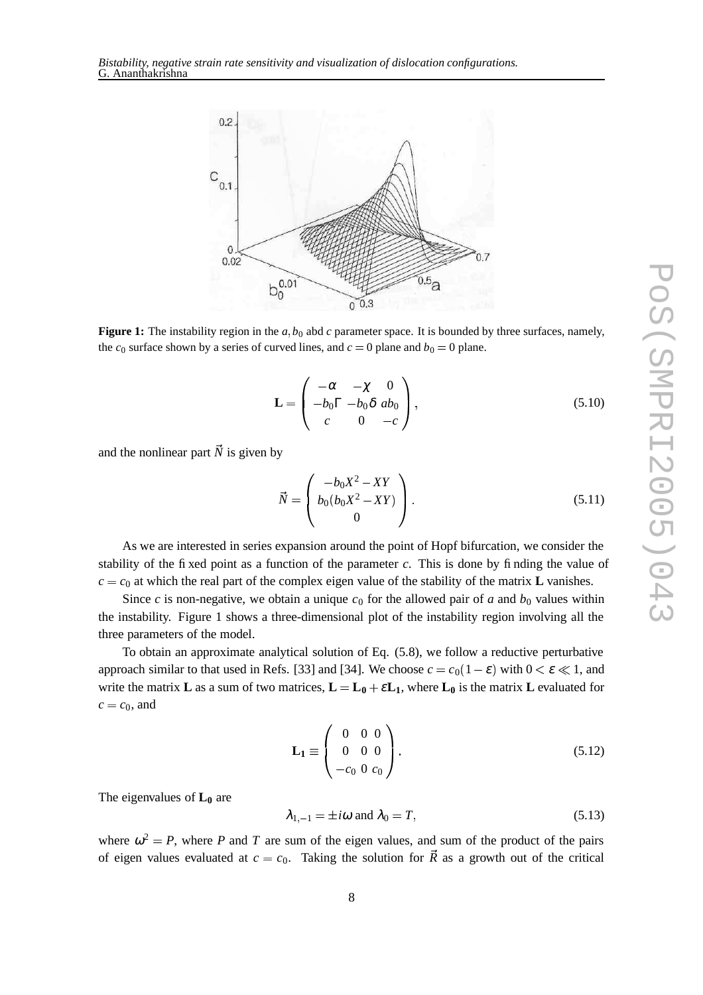

**Figure 1:** The instability region in the  $a$ ,  $b_0$  abd  $c$  parameter space. It is bounded by three surfaces, namely, the  $c_0$  surface shown by a series of curved lines, and  $c = 0$  plane and  $b_0 = 0$  plane.

$$
\mathbf{L} = \begin{pmatrix} -\alpha & -\chi & 0 \\ -b_0 \Gamma & -b_0 \delta & ab_0 \\ c & 0 & -c \end{pmatrix},
$$
 (5.10)

and the nonlinear part  $\vec{N}$  is given by

$$
\vec{N} = \begin{pmatrix} -b_0 X^2 - XY \\ b_0 (b_0 X^2 - XY) \\ 0 \end{pmatrix}.
$$
 (5.11)

As we are interested in series expansion around the point of Hopf bifurcation, we consider the stability of the fixed point as a function of the parameter *c*. This is done by finding the value of  $c = c_0$  at which the real part of the complex eigen value of the stability of the matrix **L** vanishes.

Since *c* is non-negative, we obtain a unique  $c_0$  for the allowed pair of *a* and  $b_0$  values within the instability. Figure 1 shows a three-dimensional plot of the instability region involving all the three parameters of the model.

To obtain an approximate analytical solution of Eq. (5.8), we follow a reductive perturbative approach similar to that used in Refs. [33] and [34]. We choose  $c = c_0(1 - \varepsilon)$  with  $0 < \varepsilon \ll 1$ , and write the matrix **L** as a sum of two matrices,  $L = L_0 + \varepsilon L_1$ , where  $L_0$  is the matrix **L** evaluated for  $c = c_0$ , and

$$
\mathbf{L_1} \equiv \begin{pmatrix} 0 & 0 & 0 \\ 0 & 0 & 0 \\ -c_0 & 0 & c_0 \end{pmatrix} . \tag{5.12}
$$

The eigenvalues of **L<sup>0</sup>** are

$$
\lambda_{1,-1} = \pm i\omega \text{ and } \lambda_0 = T,\tag{5.13}
$$

where  $\omega^2 = P$ , where P and T are sum of the eigen values, and sum of the product of the pairs of eigen values evaluated at  $c = c_0$ . Taking the solution for  $\vec{R}$  as a growth out of the critical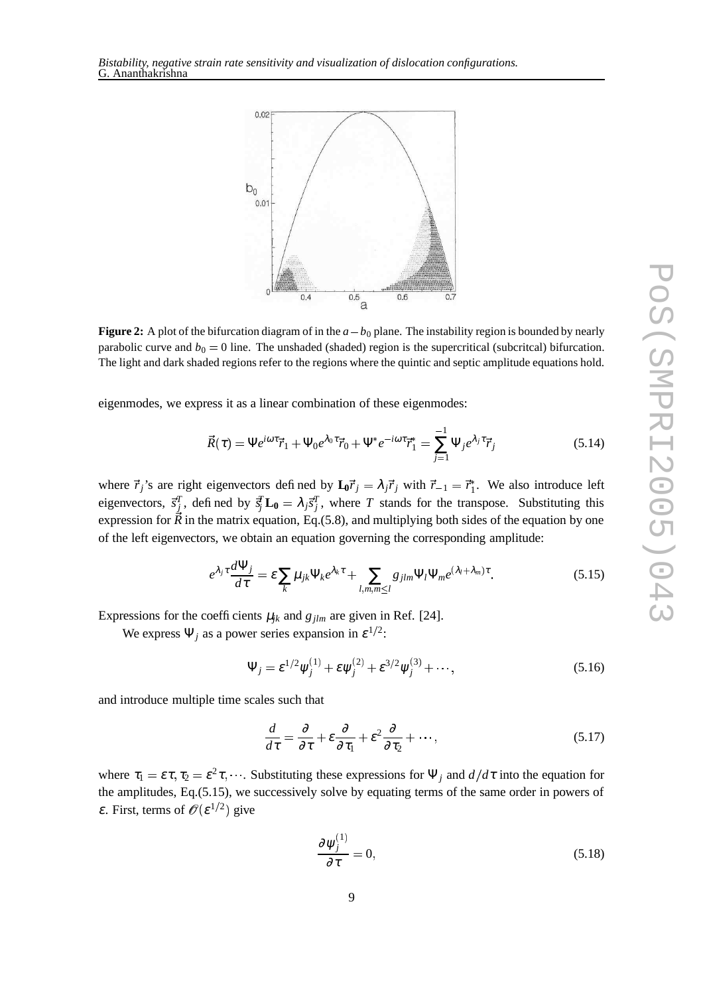

**Figure 2:** A plot of the bifurcation diagram of in the  $a - b_0$  plane. The instability region is bounded by nearly parabolic curve and  $b_0 = 0$  line. The unshaded (shaded) region is the supercritical (subcritcal) bifurcation. The light and dark shaded regions refer to the regions where the quintic and septic amplitude equations hold.

eigenmodes, we express it as a linear combination of these eigenmodes:

$$
\vec{R}(\tau) = \Psi e^{i\omega \tau} \vec{r}_1 + \Psi_0 e^{\lambda_0 \tau} \vec{r}_0 + \Psi^* e^{-i\omega \tau} \vec{r}_1^* = \sum_{j=1}^{-1} \Psi_j e^{\lambda_j \tau} \vec{r}_j
$$
(5.14)

where  $\vec{r}_j$ 's are right eigenvectors defined by  $\mathbf{L}_0 \vec{r}_j = \lambda_j \vec{r}_j$  with  $\vec{r}_{-1} = \vec{r}_1^*$ . We also introduce left eigenvectors,  $\vec{s}_j^T$ , defined by  $\vec{s}_j^T$ **L**<sub>0</sub> =  $\lambda_j \vec{s}_j^T$ , where *T* stands for the transpose. Substituting this expression for *R* in the matrix equation, Eq.(5.8), and multiplying both sides of the equation by one of the left eigenvectors, we obtain an equation governing the corresponding amplitude:

$$
e^{\lambda_j \tau} \frac{d\Psi_j}{d\tau} = \varepsilon \sum_k \mu_{jk} \Psi_k e^{\lambda_k \tau} + \sum_{l,m,m \leq l} g_{jlm} \Psi_l \Psi_m e^{(\lambda_l + \lambda_m) \tau}.
$$
 (5.15)

Expressions for the coefficients  $\mu_{jk}$  and  $g_{jlm}$  are given in Ref. [24].

We express  $\Psi_j$  as a power series expansion in  $\varepsilon^{1/2}$ :

$$
\Psi_j = \varepsilon^{1/2} \psi_j^{(1)} + \varepsilon \psi_j^{(2)} + \varepsilon^{3/2} \psi_j^{(3)} + \cdots,
$$
 (5.16)

and introduce multiple time scales such that

$$
\frac{d}{d\tau} = \frac{\partial}{\partial \tau} + \varepsilon \frac{\partial}{\partial \tau_1} + \varepsilon^2 \frac{\partial}{\partial \tau_2} + \cdots,
$$
\n(5.17)

where  $\tau_1 = \varepsilon \tau$ ,  $\tau_2 = \varepsilon^2 \tau$ , ... Substituting these expressions for  $\Psi_j$  and  $d/d\tau$  into the equation for the amplitudes, Eq.(5.15), we successively solve by equating terms of the same order in powers of  $\varepsilon$ . First, terms of  $\mathscr{O}(\varepsilon^{1/2})$  give

$$
\frac{\partial \psi_j^{(1)}}{\partial \tau} = 0,\tag{5.18}
$$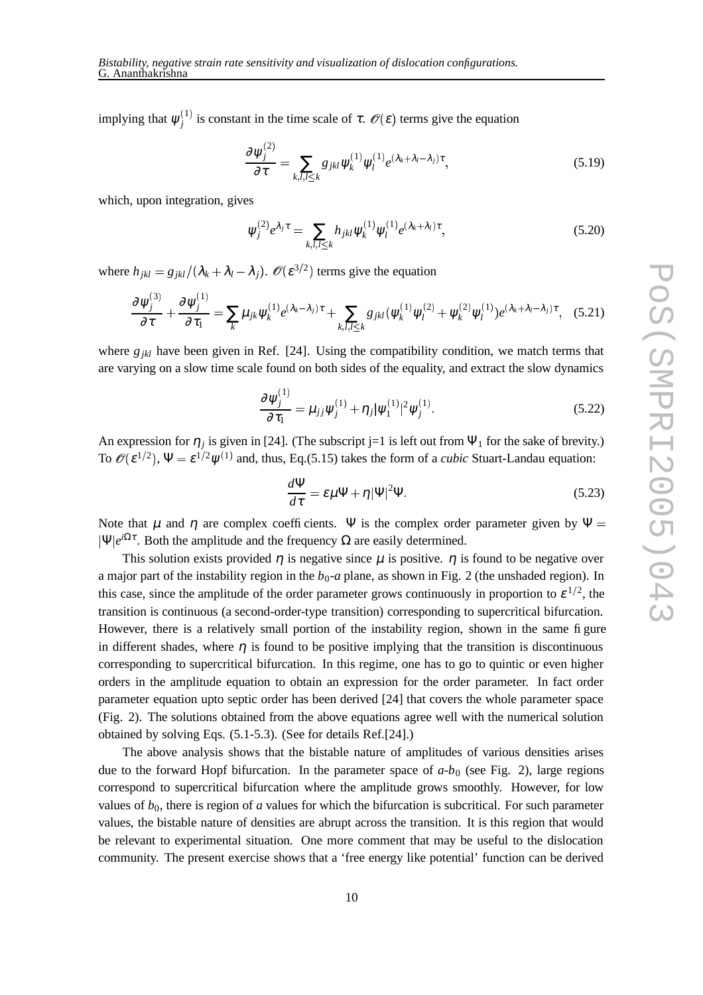implying that  $\psi_i^{(1)}$  is  $\zeta$  $j_j^{(1)}$  is constant in the time scale of  $\tau$ .  $\mathscr{O}(\varepsilon)$  terms give the  $(\varepsilon)$  terms give the equation

$$
\frac{\partial \psi_j^{(2)}}{\partial \tau} = \sum_{k,l,l \le k} g_{jkl} \psi_k^{(1)} \psi_l^{(1)} e^{(\lambda_k + \lambda_l - \lambda_j)\tau}, \tag{5.19}
$$

which, upon integration, gives

 $\mathbf{r}$  and  $\mathbf{r}$ 

 $\cdots$ 

$$
\psi_j^{(2)} e^{\lambda_j \tau} = \sum_{k,l,l \le k} h_{jkl} \psi_k^{(1)} \psi_l^{(1)} e^{(\lambda_k + \lambda_l) \tau}, \tag{5.20}
$$

where  $h_{jkl} = g_{jkl}/(\lambda_k + \lambda_l - \lambda_j)$ .  $\mathcal{O}(\varepsilon^{3/2})$  terms give  $(\varepsilon^{3/2})$  terms give the equation

 $\cdots$ 

 $\mathbf{z}$  and  $\mathbf{z}$ 

$$
\frac{\partial \psi_j^{(3)}}{\partial \tau} + \frac{\partial \psi_j^{(1)}}{\partial \tau_1} = \sum_k \mu_{jk} \psi_k^{(1)} e^{(\lambda_k - \lambda_j)\tau} + \sum_{k,l,l \le k} g_{jkl} (\psi_k^{(1)} \psi_l^{(2)} + \psi_k^{(2)} \psi_l^{(1)}) e^{(\lambda_k + \lambda_l - \lambda_j)\tau}, \quad (5.21)
$$

where  $g_{jkl}$  have been given in Ref. [24]. Using the compatibility condition, we match terms that are varying on a slow time scale found on both sides of the equality, and extract the slow dynamics

$$
\frac{\partial \psi_j^{(1)}}{\partial \tau_1} = \mu_{jj} \psi_j^{(1)} + \eta_j |\psi_1^{(1)}|^2 \psi_j^{(1)}.
$$
\n(5.22)

An expression for  $\eta_j$  is given in [24]. (The subscript j=1 is left out from  $\Psi_1$  for the sake of brevity.) To  $\mathscr{O}(\varepsilon^{1/2})$ ,  $\Psi = \varepsilon^{1/2}$  $(\varepsilon^{1/2})$ ,  $\Psi = \varepsilon^{1/2} \psi^{(1)}$  and, thus, Eq.(5.15) takes the form of a *cubic* Stuart-Landau equation:

$$
\frac{d\Psi}{d\tau} = \varepsilon \mu \Psi + \eta |\Psi|^2 \Psi.
$$
\n(5.23)

Note that  $\mu$  and  $\eta$  are complex coefficients. Ψ is the complex order parameter given by Ψ =  $|\Psi|e^{i\Omega\tau}$ . Both the amplitude and the frequency  $\Omega$  are easily determined.

This solution exists provided  $\eta$  is negative since  $\mu$  is positive.  $\eta$  is found to be negative over a major part of the instability region in the  $b_0$ -*a* plane, as shown in Fig. 2 (the unshaded region). In this case, since the amplitude of the order parameter grows continuously in proportion to  $\varepsilon^{1/2}$ , the transition is continuous (a second-order-type transition) corresponding to supercritical bifurcation. However, there is a relatively small portion of the instability region, shown in the same figure in different shades, where  $\eta$  is found to be positive implying that the transition is discontinuous corresponding to supercritical bifurcation. In this regime, one has to go to quintic or even higher orders in the amplitude equation to obtain an expression for the order parameter. In fact order parameter equation upto septic order has been derived [24] that covers the whole parameter space (Fig. 2). The solutions obtained from the above equations agree well with the numerical solution obtained by solving Eqs. (5.1-5.3). (See for details Ref.[24].)

The above analysis shows that the bistable nature of amplitudes of various densities arises due to the forward Hopf bifurcation. In the parameter space of  $a-b<sub>0</sub>$  (see Fig. 2), large regions correspond to supercritical bifurcation where the amplitude grows smoothly. However, for low values of  $b_0$ , there is region of *a* values for which the bifurcation is subcritical. For such parameter values, the bistable nature of densities are abrupt across the transition. It is this region that would be relevant to experimental situation. One more comment that may be useful to the dislocation community. The present exercise shows that a 'free energy like potential' function can be derived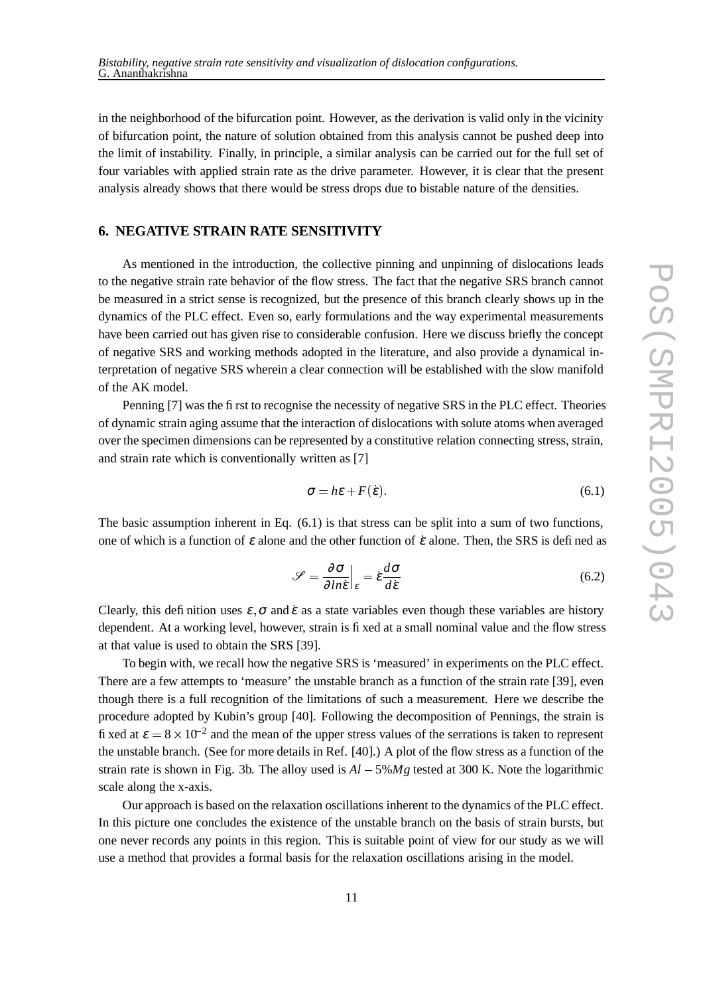in the neighborhood of the bifurcation point. However, as the derivation is valid only in the vicinity of bifurcation point, the nature of solution obtained from this analysis cannot be pushed deep into the limit of instability. Finally, in principle, a similar analysis can be carried out for the full set of four variables with applied strain rate as the drive parameter. However, it is clear that the present analysis already shows that there would be stress drops due to bistable nature of the densities.

# **6. NEGATIVE STRAIN RATE SENSITIVITY**

As mentioned in the introduction, the collective pinning and unpinning of dislocations leads to the negative strain rate behavior of the flow stress. The fact that the negative SRS branch cannot be measured in a strict sense is recognized, but the presence of this branch clearly shows up in the dynamics of the PLC effect. Even so, early formulations and the way experimental measurements have been carried out has given rise to considerable confusion. Here we discuss briefly the concept of negative SRS and working methods adopted in the literature, and also provide a dynamical interpretation of negative SRS wherein a clear connection will be established with the slow manifold of the AK model.

Penning [7] was the first to recognise the necessity of negative SRS in the PLC effect. Theories of dynamic strain aging assume that the interaction of dislocations with solute atoms when averaged over the specimen dimensions can be represented by a constitutive relation connecting stress, strain, and strain rate which is conventionally written as [7]

$$
\sigma = h\varepsilon + F(\dot{\varepsilon}).\tag{6.1}
$$

The basic assumption inherent in Eq. (6.1) is that stress can be split into a sum of two functions, one of which is a function of  $\varepsilon$  alone and the other function of  $\varepsilon$  alone. Then, the SRS is defined as

$$
\mathcal{S} = \frac{\partial \sigma}{\partial ln \dot{\epsilon}} \Big|_{\epsilon} = \dot{\epsilon} \frac{d\sigma}{d\dot{\epsilon}} \tag{6.2}
$$

Clearly, this definition uses  $\varepsilon$ ,  $\sigma$  and  $\varepsilon$  as a state variables even though these variables are history dependent. At a working level, however, strain is fixed at a small nominal value and the flow stress at that value is used to obtain the SRS [39].

To begin with, we recall how the negative SRS is 'measured' in experiments on the PLC effect. There are a few attempts to 'measure' the unstable branch as a function of the strain rate [39], even though there is a full recognition of the limitations of such a measurement. Here we describe the procedure adopted by Kubin's group [40]. Following the decomposition of Pennings, the strain is fixed at  $\varepsilon = 8 \times 10^{-2}$  and the mean of the upper stress values of the serrations is taken to represent the unstable branch. (See for more details in Ref. [40].) A plot of the flow stress as a function of the strain rate is shown in Fig. 3b. The alloy used is  $Al - 5\%Mg$  tested at 300 K. Note the logarithmic scale along the x-axis.

Our approach is based on the relaxation oscillations inherent to the dynamics of the PLC effect. In this picture one concludes the existence of the unstable branch on the basis of strain bursts, but one never records any points in this region. This is suitable point of view for our study as we will use a method that provides a formal basis for the relaxation oscillations arising in the model.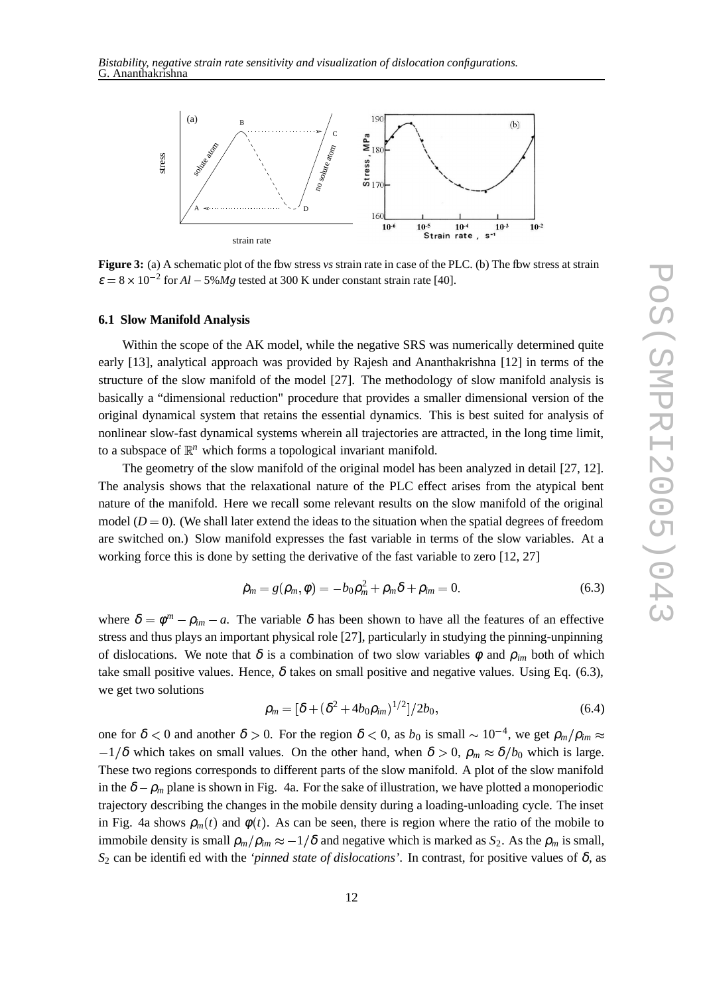

**Figure 3:** (a) A schematic plot of the flow stress *vs* strain rate in case of the PLC. (b) The flow stress at strain  $\varepsilon = 8 \times 10^{-2}$  for  $Al - 5\%Mg$  tested at 300 K under constant strain rate [40].

#### **6.1 Slow Manifold Analysis**

Within the scope of the AK model, while the negative SRS was numerically determined quite early [13], analytical approach was provided by Rajesh and Ananthakrishna [12] in terms of the structure of the slow manifold of the model [27]. The methodology of slow manifold analysis is basically a "dimensional reduction" procedure that provides a smaller dimensional version of the original dynamical system that retains the essential dynamics. This is best suited for analysis of nonlinear slow-fast dynamical systems wherein all trajectories are attracted, in the long time limit, to a subspace of  $\mathbb{R}^n$  which forms a topological invariant manifold.

The geometry of the slow manifold of the original model has been analyzed in detail [27, 12]. The analysis shows that the relaxational nature of the PLC effect arises from the atypical bent nature of the manifold. Here we recall some relevant results on the slow manifold of the original model  $(D = 0)$ . (We shall later extend the ideas to the situation when the spatial degrees of freedom are switched on.) Slow manifold expresses the fast variable in terms of the slow variables. At a working force this is done by setting the derivative of the fast variable to zero [12, 27]

$$
\dot{\rho}_m = g(\rho_m, \phi) = -b_0 \rho_m^2 + \rho_m \delta + \rho_{im} = 0.
$$
\n(6.3)

where  $\delta = \phi^m - \rho_{im} - a$ . The variable  $\delta$  has been shown to have all the features of an effective stress and thus plays an important physical role [27], particularly in studying the pinning-unpinning of dislocations. We note that  $\delta$  is a combination of two slow variables  $\phi$  and  $\rho_{im}$  both of which take small positive values. Hence,  $\delta$  takes on small positive and negative values. Using Eq. (6.3), we get two solutions

$$
\rho_m = [\delta + (\delta^2 + 4b_0 \rho_{im})^{1/2}]/2b_0,\tag{6.4}
$$

one for  $\delta < 0$  and another  $\delta > 0$ . For the region  $\delta < 0$ , as  $b_0$  is small  $\sim 10^{-4}$ , we get  $\rho_m / \rho_{im} \approx$  These two regions corresponds to different parts of the slow manifold. A plot of the slow manifold  $1/\delta$  which takes on small values. On the other hand, when  $\delta > 0$ ,  $\rho_m \approx \delta/b_0$  which is large. in the  $\delta - \rho_m$  plane is shown in Fig. 4a. For the sake of illustration, we have plotted a monoperiodic trajectory describing the changes in the mobile density during a loading-unloading cycle. The inset in Fig. 4a shows  $\rho_m(t)$  and  $\phi(t)$ . As can be seen, there is region where the ratio of the mobile to immobile density is small  $\rho_m / \rho_{im} \approx -1/\delta$  and negative which is marked as  $S_2$ . As the  $\rho_m$  is small,  $S_2$  can be identified with the *'pinned state of dislocations'*. In contrast, for positive values of  $\delta$ , as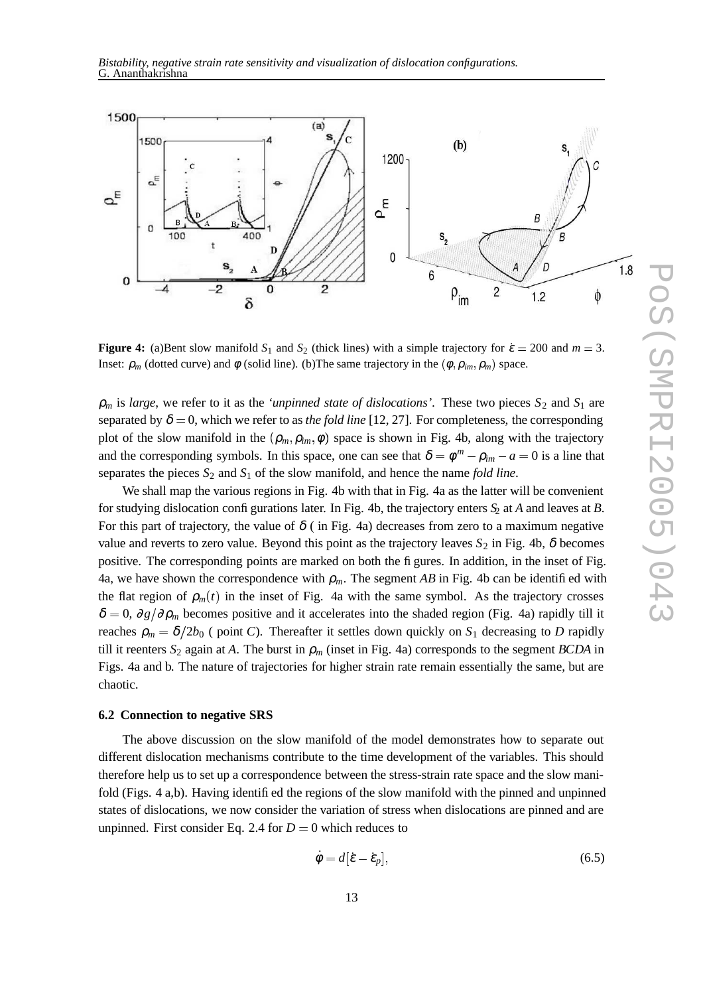

**Figure 4:** (a)Bent slow manifold  $S_1$  and  $S_2$  (thick lines) with a simple trajectory for  $\dot{\epsilon} = 200$  and  $m = 3$ . Inset:  $\rho_m$  (dotted curve) and  $\phi$  (solid line). (b) The same trajectory in the  $(\phi, \rho_{im}, \rho_m)$  space.

 $\rho_m$  is *large*, we refer to it as the *'unpinned state of dislocations'*. These two pieces  $S_2$  and  $S_1$  are separated by  $\delta = 0$ , which we refer to as *the fold line* [12, 27]. For completeness, the corresponding plot of the slow manifold in the  $(\rho_m, \rho_{im}, \phi)$  space is shown in Fig. 4b, along with the trajectory and the corresponding symbols. In this space, one can see that  $\delta = \phi^m - \rho_{im} - a = 0$  is a line that separates the pieces *S*<sup>2</sup> and *S*<sup>1</sup> of the slow manifold, and hence the name *fold line*.

We shall map the various regions in Fig. 4b with that in Fig. 4a as the latter will be convenient for studying dislocation configurations later. In Fig. 4b, the trajectory enters *S*<sup>2</sup> at *A* and leaves at *B*. For this part of trajectory, the value of  $\delta$  ( in Fig. 4a) decreases from zero to a maximum negative value and reverts to zero value. Beyond this point as the trajectory leaves  $S_2$  in Fig. 4b,  $\delta$  becomes positive. The corresponding points are marked on both the figures. In addition, in the inset of Fig. 4a, we have shown the correspondence with  $\rho_m$ . The segment *AB* in Fig. 4b can be identified with the flat region of  $\rho_m(t)$  in the inset of Fig. 4a with the same symbol. As the trajectory crosses  $\delta = 0$ ,  $\partial g / \partial \rho_m$  becomes positive and it accelerates into the shaded region (Fig. 4a) rapidly till it reaches  $\rho_m = \delta/2b_0$  (point *C*). Thereafter it settles down quickly on  $S_1$  decreasing to *D* rapidly till it reenters  $S_2$  again at *A*. The burst in  $\rho_m$  (inset in Fig. 4a) corresponds to the segment *BCDA* in Figs. 4a and b. The nature of trajectories for higher strain rate remain essentially the same, but are chaotic.

#### **6.2 Connection to negative SRS**

The above discussion on the slow manifold of the model demonstrates how to separate out different dislocation mechanisms contribute to the time development of the variables. This should therefore help us to set up a correspondence between the stress-strain rate space and the slow manifold (Figs. 4 a,b). Having identified the regions of the slow manifold with the pinned and unpinned states of dislocations, we now consider the variation of stress when dislocations are pinned and are unpinned. First consider Eq. 2.4 for  $D = 0$  which reduces to

$$
\dot{\phi} = d[\dot{\varepsilon} - \dot{\varepsilon}_p],\tag{6.5}
$$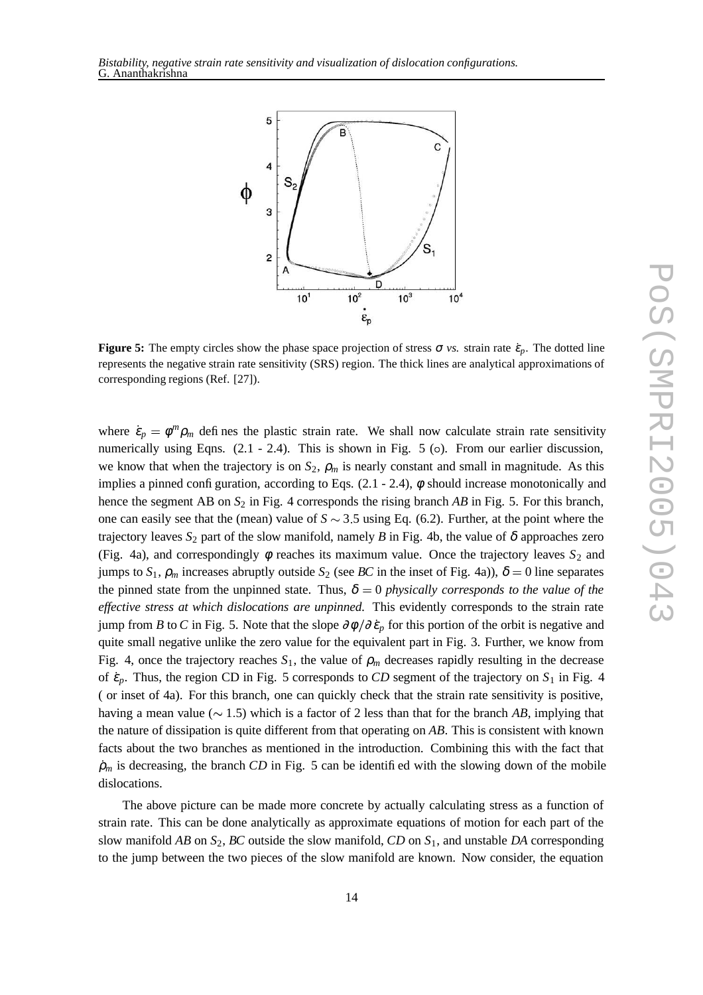



**Figure 5:** The empty circles show the phase space projection of stress  $\sigma$  *vs.* strain rate  $\dot{\epsilon}_p$ . The dotted line represents the negative strain rate sensitivity (SRS) region. The thick lines are analytical approximations of corresponding regions (Ref. [27]).

where  $\dot{\epsilon}_p = \phi^m \rho_m$  defines the plastic strain rate. We shall now calculate strain rate sensitivity numerically using Eqns. (2.1 - 2.4). This is shown in Fig. 5 (o). From our earlier discussion, we know that when the trajectory is on  $S_2$ ,  $\rho_m$  is nearly constant and small in magnitude. As this implies a pinned configuration, according to Eqs.  $(2.1 - 2.4)$ ,  $\phi$  should increase monotonically and hence the segment AB on  $S_2$  in Fig. 4 corresponds the rising branch *AB* in Fig. 5. For this branch, one can easily see that the (mean) value of  $S \sim 3.5$  using Eq. (6.2). Further, at the point where the trajectory leaves  $S_2$  part of the slow manifold, namely *B* in Fig. 4b, the value of  $\delta$  approaches zero (Fig. 4a), and correspondingly  $\phi$  reaches its maximum value. Once the trajectory leaves  $S_2$  and jumps to  $S_1$ ,  $\rho_m$  increases abruptly outside  $S_2$  (see *BC* in the inset of Fig. 4a)),  $\delta = 0$  line separates the pinned state from the unpinned state. Thus,  $\delta = 0$  *physically corresponds to the value of the effective stress at which dislocations are unpinned.* This evidently corresponds to the strain rate jump from *B* to *C* in Fig. 5. Note that the slope  $\partial \phi / \partial \dot{\epsilon}_p$  for this portion of the orbit is negative and quite small negative unlike the zero value for the equivalent part in Fig. 3. Further, we know from Fig. 4, once the trajectory reaches  $S_1$ , the value of  $\rho_m$  decreases rapidly resulting in the decrease of  $\dot{\epsilon}_p$ . Thus, the region CD in Fig. 5 corresponds to *CD* segment of the trajectory on  $S_1$  in Fig. 4 ( or inset of 4a). For this branch, one can quickly check that the strain rate sensitivity is positive, having a mean value ( $\sim 1.5$ ) which is a factor of 2 less than that for the branch *AB*, implying that the nature of dissipation is quite different from that operating on *AB*. This is consistent with known facts about the two branches as mentioned in the introduction. Combining this with the fact that  $\dot{\rho}_m$  is decreasing, the branch *CD* in Fig. 5 can be identified with the slowing down of the mobile dislocations.

The above picture can be made more concrete by actually calculating stress as a function of strain rate. This can be done analytically as approximate equations of motion for each part of the slow manifold *AB* on *S*2, *BC* outside the slow manifold, *CD* on *S*1, and unstable *DA* corresponding to the jump between the two pieces of the slow manifold are known. Now consider, the equation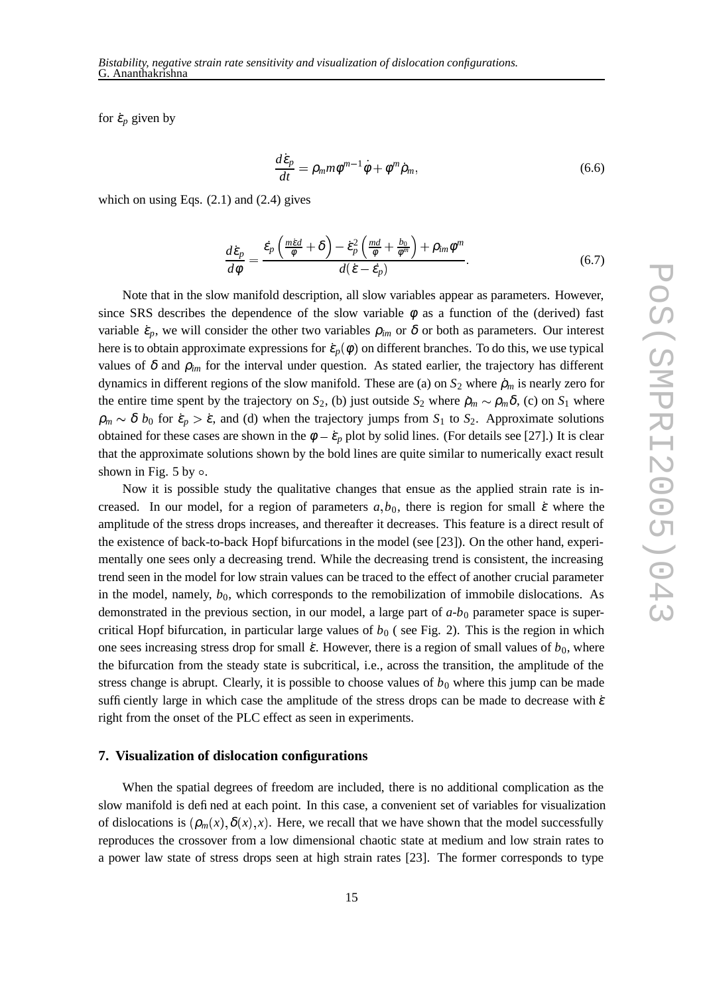for  $\dot{\varepsilon}_p$  given by

$$
\frac{d\dot{\varepsilon}_p}{dt} = \rho_m m \phi^{m-1} \dot{\phi} + \phi^m \dot{\rho}_m,\tag{6.6}
$$

which on using Eqs.  $(2.1)$  and  $(2.4)$  gives

$$
\frac{d\dot{\varepsilon}_p}{d\phi} = \frac{\dot{\varepsilon}_p \left( \frac{m\dot{\varepsilon}d}{\phi} + \delta \right) - \dot{\varepsilon}_p^2 \left( \frac{md}{\phi} + \frac{b_0}{\phi^m} \right) + \rho_{im} \phi^m}{d(\dot{\varepsilon} - \dot{\varepsilon}_p)}.
$$
(6.7)

Note that in the slow manifold description, all slow variables appear as parameters. However, since SRS describes the dependence of the slow variable  $\phi$  as a function of the (derived) fast variable  $\dot{\varepsilon}_p$ , we will consider the other two variables  $\rho_{im}$  or  $\delta$  or both as parameters. Our interest here is to obtain approximate expressions for  $\dot{\epsilon}_p(\phi)$  on different branches. To do this, we use typical values of  $\delta$  and  $\rho_{im}$  for the interval under question. As stated earlier, the trajectory has different dynamics in different regions of the slow manifold. These are (a) on  $S_2$  where  $\rho_m$  is nearly zero for the entire time spent by the trajectory on *S*<sub>2</sub>, (b) just outside *S*<sub>2</sub> where  $\rho_m \sim \rho_m \delta$ , (c) on *S*<sub>1</sub> where  $\rho_m \sim \delta$  *b*<sub>0</sub> for  $\dot{\epsilon}_p > \dot{\epsilon}$ , and (d) when the trajectory jumps from *S*<sub>1</sub> to *S*<sub>2</sub>. Approximate solutions obtained for these cases are shown in the  $\phi - \dot{\epsilon}_p$  plot by solid lines. (For details see [27].) It is clear that the approximate solutions shown by the bold lines are quite similar to numerically exact result shown in Fig. 5 by  $\circ$ .

Now it is possible study the qualitative changes that ensue as the applied strain rate is increased. In our model, for a region of parameters  $a, b_0$ , there is region for small  $\dot{\varepsilon}$  where the amplitude of the stress drops increases, and thereafter it decreases. This feature is a direct result of the existence of back-to-back Hopf bifurcations in the model (see [23]). On the other hand, experimentally one sees only a decreasing trend. While the decreasing trend is consistent, the increasing trend seen in the model for low strain values can be traced to the effect of another crucial parameter in the model, namely,  $b_0$ , which corresponds to the remobilization of immobile dislocations. As demonstrated in the previous section, in our model, a large part of  $a-b<sub>0</sub>$  parameter space is supercritical Hopf bifurcation, in particular large values of  $b<sub>0</sub>$  (see Fig. 2). This is the region in which one sees increasing stress drop for small  $\dot{\epsilon}$ . However, there is a region of small values of  $b_0$ , where the bifurcation from the steady state is subcritical, i.e., across the transition, the amplitude of the stress change is abrupt. Clearly, it is possible to choose values of  $b<sub>0</sub>$  where this jump can be made sufficiently large in which case the amplitude of the stress drops can be made to decrease with  $\dot{\epsilon}$ right from the onset of the PLC effect as seen in experiments.

# **7. Visualization of dislocation configurations**

When the spatial degrees of freedom are included, there is no additional complication as the slow manifold is defined at each point. In this case, a convenient set of variables for visualization of dislocations is  $(\rho_m(x), \delta(x), x)$ . Here, we recall that we have shown that the model successfully reproduces the crossover from a low dimensional chaotic state at medium and low strain rates to a power law state of stress drops seen at high strain rates [23]. The former corresponds to type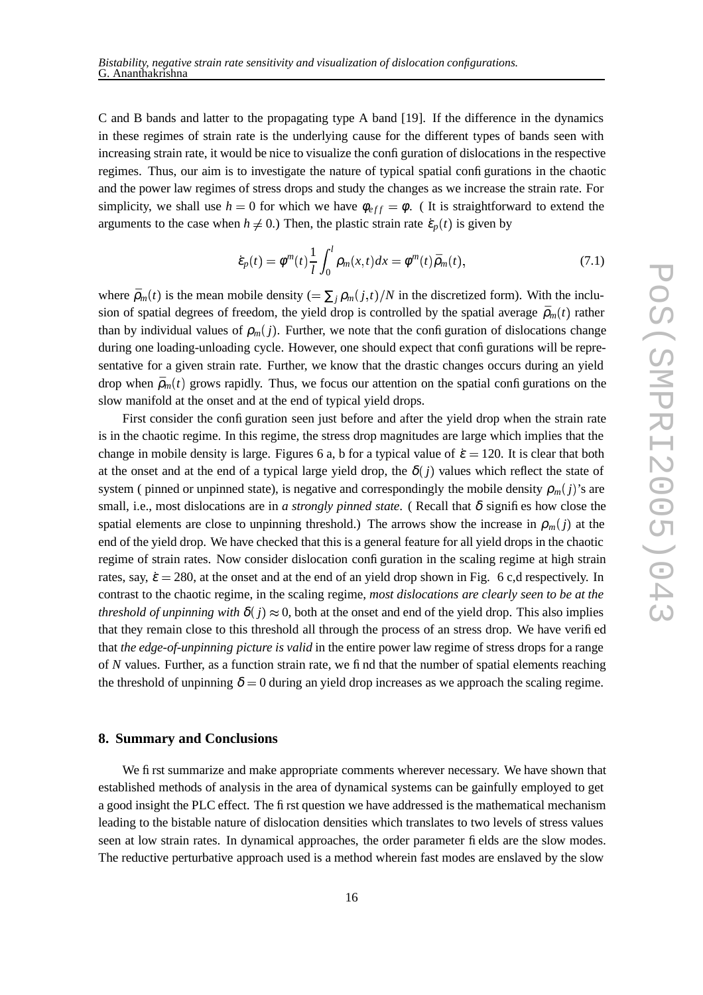C and B bands and latter to the propagating type A band [19]. If the difference in the dynamics in these regimes of strain rate is the underlying cause for the different types of bands seen with increasing strain rate, it would be nice to visualize the configuration of dislocations in the respective regimes. Thus, our aim is to investigate the nature of typical spatial configurations in the chaotic and the power law regimes of stress drops and study the changes as we increase the strain rate. For simplicity, we shall use  $h = 0$  for which we have  $\phi_{eff} = \phi$ . (It is straightforward to extend the arguments to the case when  $h \neq 0$ .) Then, the plastic strain rate  $\dot{\varepsilon}_p(t)$  is given by

$$
\dot{\varepsilon}_p(t) = \phi^m(t) \frac{1}{l} \int_0^l \rho_m(x, t) dx = \phi^m(t) \bar{\rho}_m(t), \tag{7.1}
$$

where  $\bar{\rho}_m(t)$  is the mean mobile density  $(=\sum_j \rho_m(j,t)/N$  in the discretized form). With the inclusion of spatial degrees of freedom, the yield drop is controlled by the spatial average  $\bar{\rho}_m(t)$  rather than by individual values of  $\rho_m(j)$ . Further, we note that the configuration of dislocations change during one loading-unloading cycle. However, one should expect that configurations will be representative for a given strain rate. Further, we know that the drastic changes occurs during an yield drop when  $\bar{p}_m(t)$  grows rapidly. Thus, we focus our attention on the spatial configurations on the slow manifold at the onset and at the end of typical yield drops.

First consider the configuration seen just before and after the yield drop when the strain rate is in the chaotic regime. In this regime, the stress drop magnitudes are large which implies that the change in mobile density is large. Figures 6 a, b for a typical value of  $\dot{\epsilon} = 120$ . It is clear that both at the onset and at the end of a typical large yield drop, the  $\delta(j)$  values which reflect the state of system ( pinned or unpinned state), is negative and correspondingly the mobile density  $\rho_m(j)$ 's are small, i.e., most dislocations are in *a strongly pinned state*. (Recall that  $\delta$  signifies how close the spatial elements are close to unpinning threshold.) The arrows show the increase in  $\rho_m(j)$  at the end of the yield drop. We have checked that this is a general feature for all yield drops in the chaotic regime of strain rates. Now consider dislocation configuration in the scaling regime at high strain rates, say,  $\dot{\epsilon} = 280$ , at the onset and at the end of an yield drop shown in Fig. 6 c,d respectively. In contrast to the chaotic regime, in the scaling regime, *most dislocations are clearly seen to be at the threshold of unpinning with*  $\delta(j) \approx 0$ , both at the onset and end of the yield drop. This also implies that they remain close to this threshold all through the process of an stress drop. We have verified that *the edge-of-unpinning picture is valid* in the entire power law regime of stress drops for a range of *N* values. Further, as a function strain rate, we find that the number of spatial elements reaching the threshold of unpinning  $\delta = 0$  during an yield drop increases as we approach the scaling regime.

### **8. Summary and Conclusions**

We first summarize and make appropriate comments wherever necessary. We have shown that established methods of analysis in the area of dynamical systems can be gainfully employed to get a good insight the PLC effect. The first question we have addressed is the mathematical mechanism leading to the bistable nature of dislocation densities which translates to two levels of stress values seen at low strain rates. In dynamical approaches, the order parameter fields are the slow modes. The reductive perturbative approach used is a method wherein fast modes are enslaved by the slow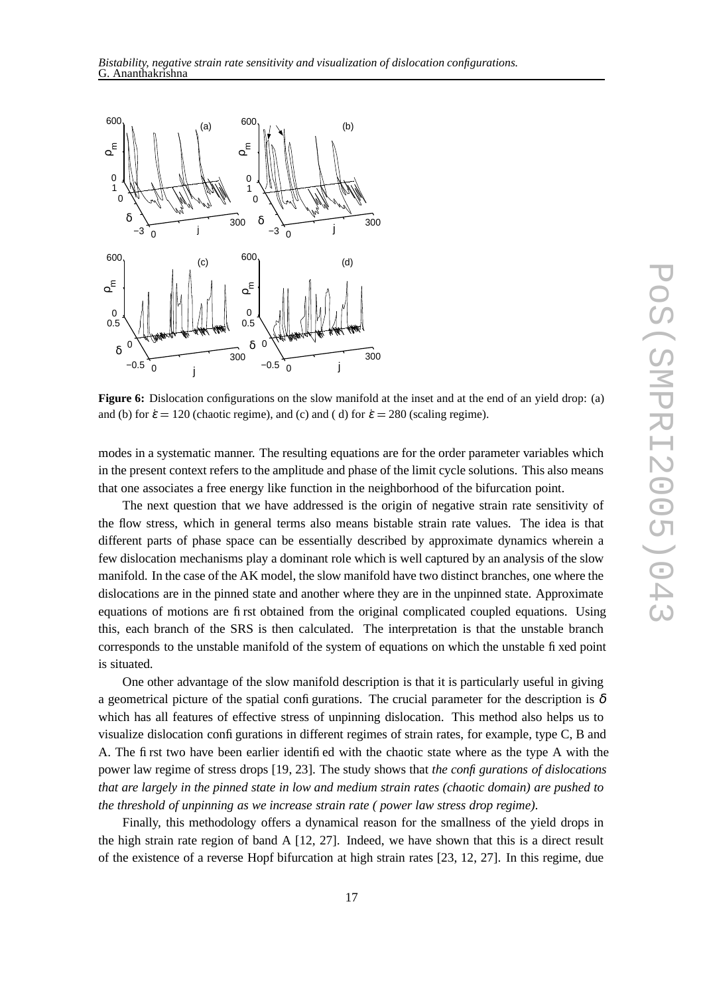

**Figure 6:** Dislocation configurations on the slow manifold at the inset and at the end of an yield drop: (a) and (b) for  $\dot{\varepsilon} = 120$  (chaotic regime), and (c) and (d) for  $\dot{\varepsilon} = 280$  (scaling regime).

modes in a systematic manner. The resulting equations are for the order parameter variables which in the present context refers to the amplitude and phase of the limit cycle solutions. This also means that one associates a free energy like function in the neighborhood of the bifurcation point.

The next question that we have addressed is the origin of negative strain rate sensitivity of the flow stress, which in general terms also means bistable strain rate values. The idea is that different parts of phase space can be essentially described by approximate dynamics wherein a few dislocation mechanisms play a dominant role which is well captured by an analysis of the slow manifold. In the case of the AK model, the slow manifold have two distinct branches, one where the dislocations are in the pinned state and another where they are in the unpinned state. Approximate equations of motions are first obtained from the original complicated coupled equations. Using this, each branch of the SRS is then calculated. The interpretation is that the unstable branch corresponds to the unstable manifold of the system of equations on which the unstable fixed point is situated.

One other advantage of the slow manifold description is that it is particularly useful in giving a geometrical picture of the spatial configurations. The crucial parameter for the description is  $\delta$ which has all features of effective stress of unpinning dislocation. This method also helps us to visualize dislocation configurations in different regimes of strain rates, for example, type C, B and A. The first two have been earlier identified with the chaotic state where as the type A with the power law regime of stress drops [19, 23]. The study shows that *the configurations of dislocations that are largely in the pinned state in low and medium strain rates (chaotic domain) are pushed to the threshold of unpinning as we increase strain rate ( power law stress drop regime)*.

Finally, this methodology offers a dynamical reason for the smallness of the yield drops in the high strain rate region of band A [12, 27]. Indeed, we have shown that this is a direct result of the existence of a reverse Hopf bifurcation at high strain rates [23, 12, 27]. In this regime, due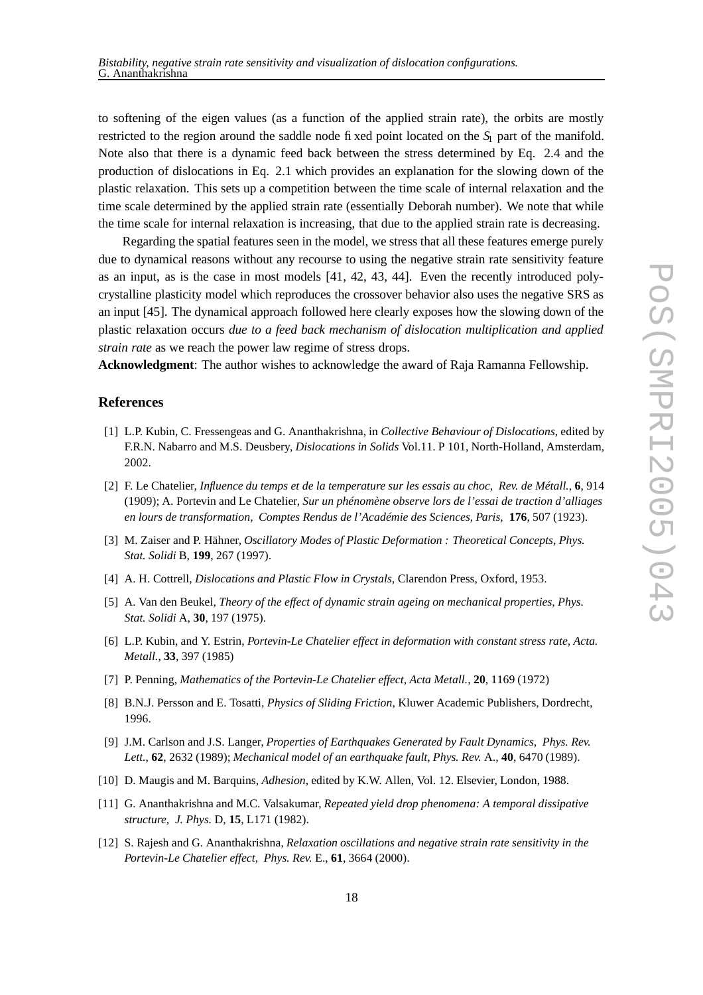to softening of the eigen values (as a function of the applied strain rate), the orbits are mostly restricted to the region around the saddle node fixed point located on the  $S_1$  part of the manifold. Note also that there is a dynamic feed back between the stress determined by Eq. 2.4 and the production of dislocations in Eq. 2.1 which provides an explanation for the slowing down of the plastic relaxation. This sets up a competition between the time scale of internal relaxation and the time scale determined by the applied strain rate (essentially Deborah number). We note that while the time scale for internal relaxation is increasing, that due to the applied strain rate is decreasing.

Regarding the spatial features seen in the model, we stress that all these features emerge purely due to dynamical reasons without any recourse to using the negative strain rate sensitivity feature as an input, as is the case in most models [41, 42, 43, 44]. Even the recently introduced polycrystalline plasticity model which reproduces the crossover behavior also uses the negative SRS as an input [45]. The dynamical approach followed here clearly exposes how the slowing down of the plastic relaxation occurs *due to a feed back mechanism of dislocation multiplication and applied strain rate* as we reach the power law regime of stress drops.

**Acknowledgment**: The author wishes to acknowledge the award of Raja Ramanna Fellowship.

## **References**

- [1] L.P. Kubin, C. Fressengeas and G. Ananthakrishna, in *Collective Behaviour of Dislocations*, edited by F.R.N. Nabarro and M.S. Deusbery, *Dislocations in Solids* Vol.11. P 101, North-Holland, Amsterdam, 2002.
- [2] F. Le Chatelier, *Influence du temps et de la temperature sur les essais au choc, Rev. de Métall.*, **6**, 914 (1909); A. Portevin and Le Chatelier, *Sur un phénomène observe lors de l'essai de traction d'alliages en lours de transformation, Comptes Rendus de l'Académie des Sciences, Paris,* **176**, 507 (1923).
- [3] M. Zaiser and P. Hähner, *Oscillatory Modes of Plastic Deformation : Theoretical Concepts*, *Phys. Stat. Solidi* B, **199**, 267 (1997).
- [4] A. H. Cottrell, *Dislocations and Plastic Flow in Crystals*, Clarendon Press, Oxford, 1953.
- [5] A. Van den Beukel, *Theory of the effect of dynamic strain ageing on mechanical properties, Phys. Stat. Solidi* A, **30**, 197 (1975).
- [6] L.P. Kubin, and Y. Estrin, *Portevin-Le Chatelier effect in deformation with constant stress rate, Acta. Metall.*, **33**, 397 (1985)
- [7] P. Penning, *Mathematics of the Portevin-Le Chatelier effect, Acta Metall.*, **20**, 1169 (1972)
- [8] B.N.J. Persson and E. Tosatti, *Physics of Sliding Friction*, Kluwer Academic Publishers, Dordrecht, 1996.
- [9] J.M. Carlson and J.S. Langer, *Properties of Earthquakes Generated by Fault Dynamics, Phys. Rev. Lett.*, **62**, 2632 (1989); *Mechanical model of an earthquake fault*, *Phys. Rev.* A., **40**, 6470 (1989).
- [10] D. Maugis and M. Barquins, *Adhesion*, edited by K.W. Allen, Vol. 12. Elsevier, London, 1988.
- [11] G. Ananthakrishna and M.C. Valsakumar, *Repeated yield drop phenomena: A temporal dissipative structure, J. Phys.* D, **15**, L171 (1982).
- [12] S. Rajesh and G. Ananthakrishna, *Relaxation oscillations and negative strain rate sensitivity in the Portevin-Le Chatelier effect, Phys. Rev.* E., **61**, 3664 (2000).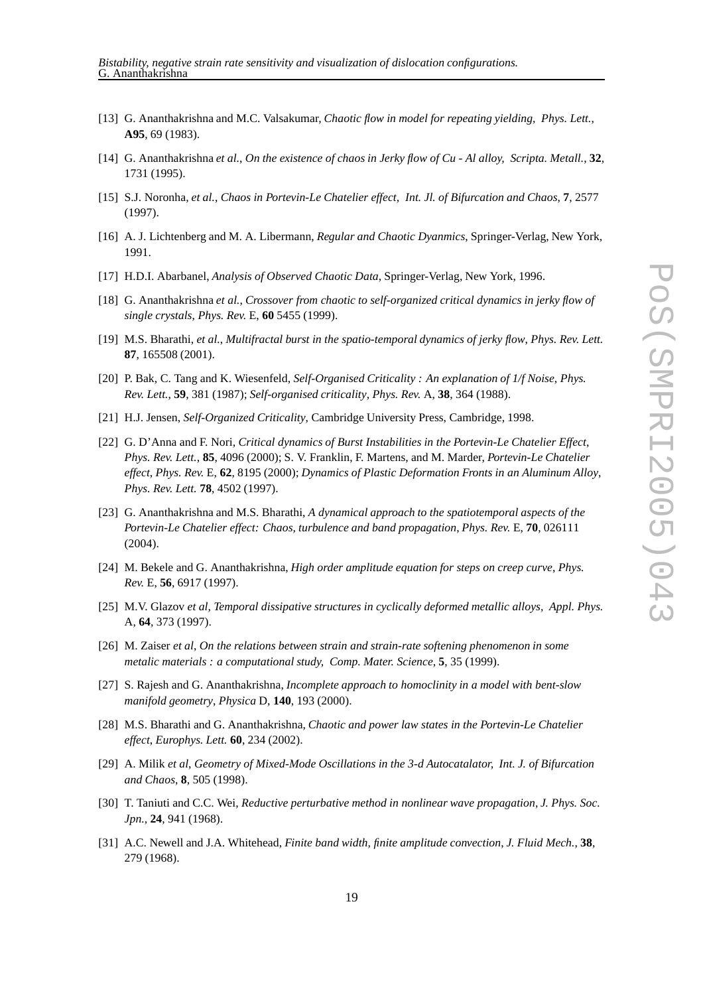- [13] G. Ananthakrishna and M.C. Valsakumar, *Chaotic flow in model for repeating yielding, Phys. Lett.*, **A95**, 69 (1983).
- [14] G. Ananthakrishna et al., On the existence of chaos in Jerky flow of Cu Al alloy, Scripta. Metall., 32, 1731 (1995).
- [15] S.J. Noronha, *et al.*, *Chaos in Portevin-Le Chatelier effect, Int. Jl. of Bifurcation and Chaos*, **7**, 2577 (1997).
- [16] A. J. Lichtenberg and M. A. Libermann, *Regular and Chaotic Dyanmics*, Springer-Verlag, New York, 1991.
- [17] H.D.I. Abarbanel, *Analysis of Observed Chaotic Data*, Springer-Verlag, New York, 1996.
- [18] G. Ananthakrishna *et al.*, *Crossover from chaotic to self-organized critical dynamics in jerky flow of single crystals*, *Phys. Rev.* E, **60** 5455 (1999).
- [19] M.S. Bharathi, *et al.*, *Multifractal burst in the spatio-temporal dynamics of jerky flow*, *Phys. Rev. Lett.* **87**, 165508 (2001).
- [20] P. Bak, C. Tang and K. Wiesenfeld, *Self-Organised Criticality : An explanation of 1/f Noise*, *Phys. Rev. Lett.*, **59**, 381 (1987); *Self-organised criticality*, *Phys. Rev.* A, **38**, 364 (1988).
- [21] H.J. Jensen, *Self-Organized Criticality*, Cambridge University Press, Cambridge, 1998.
- [22] G. D'Anna and F. Nori, *Critical dynamics of Burst Instabilities in the Portevin-Le Chatelier Effect*, *Phys. Rev. Lett.*, **85**, 4096 (2000); S. V. Franklin, F. Martens, and M. Marder, *Portevin-Le Chatelier effect*, *Phys. Rev.* E, **62**, 8195 (2000); *Dynamics of Plastic Deformation Fronts in an Aluminum Alloy*, *Phys. Rev. Lett.* **78**, 4502 (1997).
- [23] G. Ananthakrishna and M.S. Bharathi, *A dynamical approach to the spatiotemporal aspects of the Portevin-Le Chatelier effect: Chaos, turbulence and band propagation*, *Phys. Rev.* E, **70**, 026111 (2004).
- [24] M. Bekele and G. Ananthakrishna, *High order amplitude equation for steps on creep curve*, *Phys. Rev.* E, **56**, 6917 (1997).
- [25] M.V. Glazov *et al*, *Temporal dissipative structures in cyclically deformed metallic alloys, Appl. Phys.* A, **64**, 373 (1997).
- [26] M. Zaiser *et al*, *On the relations between strain and strain-rate softening phenomenon in some metalic materials : a computational study, Comp. Mater. Science*, **5**, 35 (1999).
- [27] S. Rajesh and G. Ananthakrishna, *Incomplete approach to homoclinity in a model with bent-slow manifold geometry*, *Physica* D, **140**, 193 (2000).
- [28] M.S. Bharathi and G. Ananthakrishna, *Chaotic and power law states in the Portevin-Le Chatelier effect*, *Europhys. Lett.* **60**, 234 (2002).
- [29] A. Milik *et al*, *Geometry of Mixed-Mode Oscillations in the 3-d Autocatalator, Int. J. of Bifurcation and Chaos*, **8**, 505 (1998).
- [30] T. Taniuti and C.C. Wei, *Reductive perturbative method in nonlinear wave propagation*, *J. Phys. Soc. Jpn.*, **24**, 941 (1968).
- [31] A.C. Newell and J.A. Whitehead, *Finite band width, finite amplitude convection*, *J. Fluid Mech.*, **38**, 279 (1968).